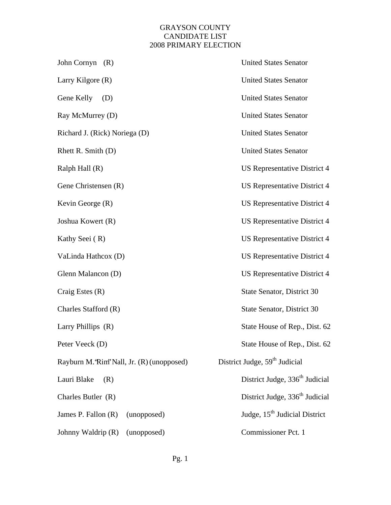## GRAYSON COUNTY CANDIDATE LIST 2008 PRIMARY ELECTION

| John Cornyn (R)                           | <b>United States Senator</b>               |
|-------------------------------------------|--------------------------------------------|
| Larry Kilgore (R)                         | <b>United States Senator</b>               |
| Gene Kelly<br>(D)                         | <b>United States Senator</b>               |
| Ray McMurrey (D)                          | <b>United States Senator</b>               |
| Richard J. (Rick) Noriega (D)             | <b>United States Senator</b>               |
| Rhett R. Smith (D)                        | <b>United States Senator</b>               |
| Ralph Hall (R)                            | US Representative District 4               |
| Gene Christensen (R)                      | US Representative District 4               |
| Kevin George (R)                          | <b>US Representative District 4</b>        |
| Joshua Kowert (R)                         | <b>US Representative District 4</b>        |
| Kathy Seei (R)                            | US Representative District 4               |
| VaLinda Hathcox (D)                       | <b>US Representative District 4</b>        |
| Glenn Malancon (D)                        | <b>US Representative District 4</b>        |
| Craig Estes (R)                           | State Senator, District 30                 |
| Charles Stafford (R)                      | State Senator, District 30                 |
| Larry Phillips (R)                        | State House of Rep., Dist. 62              |
| Peter Veeck (D)                           | State House of Rep., Dist. 62              |
| Rayburn M.'Rim' Nall, Jr. (R) (unopposed) | District Judge, 59 <sup>th</sup> Judicial  |
| Lauri Blake<br>(R)                        | District Judge, 336 <sup>th</sup> Judicial |
| Charles Butler (R)                        | District Judge, 336 <sup>th</sup> Judicial |
| James P. Fallon (R)<br>(unopposed)        | Judge, 15 <sup>th</sup> Judicial District  |
| Johnny Waldrip (R)<br>(unopposed)         | Commissioner Pct. 1                        |